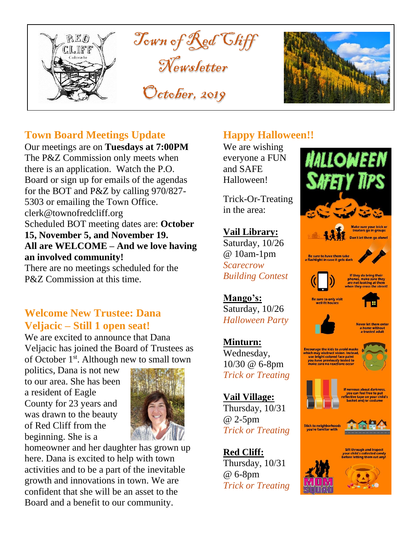



## **Town Board Meetings Update**

Our meetings are on **Tuesdays at 7:00PM** The P&Z Commission only meets when there is an application. Watch the P.O. Board or sign up for emails of the agendas for the BOT and P&Z by calling 970/827- 5303 or emailing the Town Office. clerk@townofredcliff.org Scheduled BOT meeting dates are: **October 15, November 5, and November 19. All are WELCOME – And we love having an involved community!**

There are no meetings scheduled for the P&Z Commission at this time.

## **Welcome New Trustee: Dana Veljacic – Still 1 open seat!**

We are excited to announce that Dana Veljacic has joined the Board of Trustees as of October 1st. Although new to small town

politics, Dana is not new to our area. She has been a resident of Eagle County for 23 years and was drawn to the beauty of Red Cliff from the beginning. She is a



homeowner and her daughter has grown up here. Dana is excited to help with town activities and to be a part of the inevitable growth and innovations in town. We are confident that she will be an asset to the Board and a benefit to our community.

## **Happy Halloween!!**

We are wishing everyone a FUN and SAFE Halloween!

Trick-Or-Treating in the area:

**Vail Library:** Saturday, 10/26 @ 10am-1pm *Scarecrow Building Contest*

**Mango's:** Saturday, 10/26 *Halloween Party*

## **Minturn:**

Wednesday, 10/30 @ 6-8pm *Trick or Treating*

**Vail Village:** Thursday, 10/31 @ 2-5pm *Trick or Treating*

**Red Cliff:** Thursday, 10/31 @ 6-8pm *Trick or Treating*